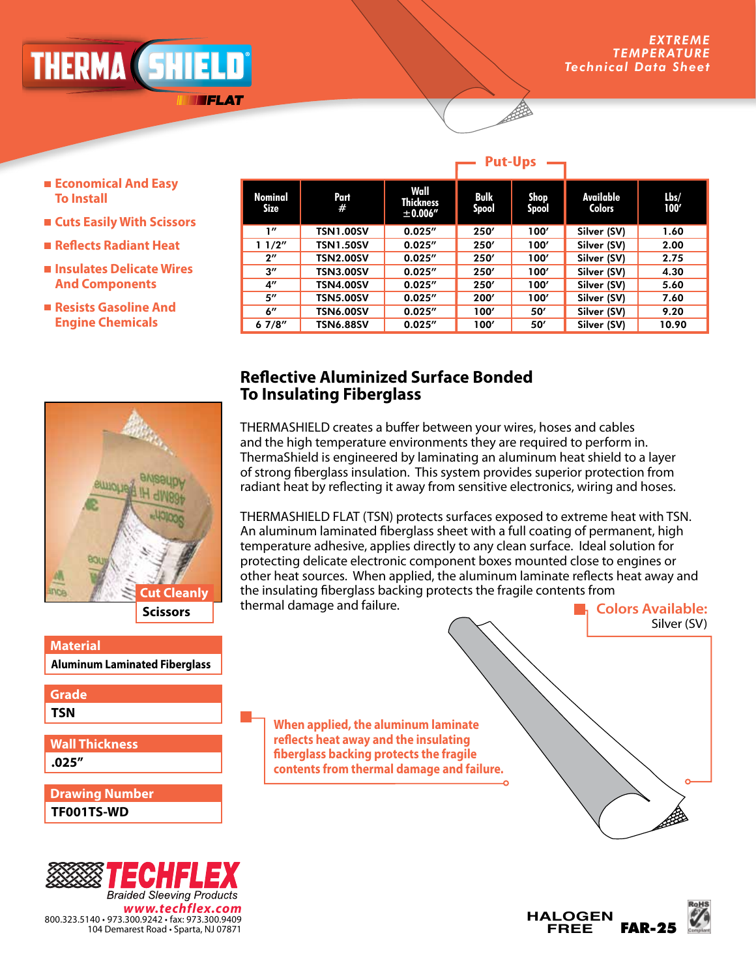## *ADVANCED ENGINEERING* NERMA (DNIELI

FLAT

#### **Put-Ups**

- **Economical And Easy To Install**
- **Cuts Easily With Scissors**
- **Reflects Radiant Heat**
- **Insulates Delicate Wires And Components**
- **Resists Gasoline And Engine Chemicals**

| Nominal<br><b>Size</b> | Part<br>#        | Wall<br><b>Thickness</b><br>± 0.006'' | <b>Bulk</b><br><b>Spool</b> | Shop<br>Spool | Available<br><b>Colors</b> | $l$ bs/<br>100' |
|------------------------|------------------|---------------------------------------|-----------------------------|---------------|----------------------------|-----------------|
| 1''                    | <b>TSN1.00SV</b> | 0.025''                               | 250'                        | 100'          | Silver (SV)                | 1.60            |
| 11/2"                  | <b>TSN1.50SV</b> | 0.025''                               | 250'                        | 100'          | Silver (SV)                | 2.00            |
| $2^{\prime\prime}$     | <b>TSN2.00SV</b> | 0.025''                               | 250'                        | 100'          | Silver (SV)                | 2.75            |
| $3^{\prime\prime}$     | <b>TSN3.00SV</b> | 0.025''                               | 250'                        | 100'          | Silver (SV)                | 4.30            |
| $4^{\prime\prime}$     | <b>TSN4.00SV</b> | 0.025''                               | 250'                        | 100'          | Silver (SV)                | 5.60            |
| 5"                     | <b>TSN5.00SV</b> | 0.025''                               | 200'                        | 100'          | Silver (SV)                | 7.60            |
| 6"                     | <b>TSN6.00SV</b> | 0.025''                               | 100'                        | 50'           | Silver (SV)                | 9.20            |
| 67/8''                 | <b>TSN6.88SV</b> | 0.025''                               | 100'                        | 50'           | Silver (SV)                | 10.90           |

# **Scissors Cut Cleanly**

**Material** 

**Aluminum Laminated Fiberglass**

### **Grade**

**TSN**

**.025" Wall Thickness**

**TF001TS-WD Drawing Number**



### **Reflective Aluminized Surface Bonded To Insulating Fiberglass**

THERMASHIELD creates a buffer between your wires, hoses and cables and the high temperature environments they are required to perform in. ThermaShield is engineered by laminating an aluminum heat shield to a layer of strong fiberglass insulation. This system provides superior protection from radiant heat by reflecting it away from sensitive electronics, wiring and hoses.

THERMASHIELD FLAT (TSN) protects surfaces exposed to extreme heat with TSN. An aluminum laminated fiberglass sheet with a full coating of permanent, high temperature adhesive, applies directly to any clean surface. Ideal solution for protecting delicate electronic component boxes mounted close to engines or other heat sources. When applied, the aluminum laminate reflects heat away and the insulating fiberglass backing protects the fragile contents from thermal damage and failure. **Colors Available:**

**When applied, the aluminum laminate reflects heat away and the insulating fiberglass backing protects the fragile contents from thermal damage and failure.**



Silver (SV)